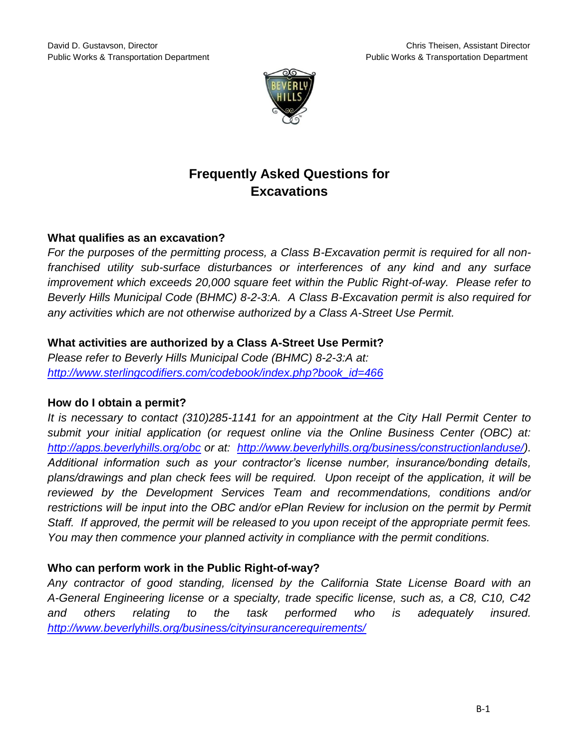

# **Frequently Asked Questions for Excavations**

## **What qualifies as an excavation?**

*For the purposes of the permitting process, a Class B-Excavation permit is required for all nonfranchised utility sub-surface disturbances or interferences of any kind and any surface improvement which exceeds 20,000 square feet within the Public Right-of-way. Please refer to Beverly Hills Municipal Code (BHMC) 8-2-3:A. A Class B-Excavation permit is also required for any activities which are not otherwise authorized by a Class A-Street Use Permit.*

## **What activities are authorized by a Class A-Street Use Permit?**

*Please refer to Beverly Hills Municipal Code (BHMC) 8-2-3:A at: [http://www.sterlingcodifiers.com/codebook/index.php?book\\_id=466](http://www.sterlingcodifiers.com/codebook/index.php?book_id=466)*

## **How do I obtain a permit?**

*It is necessary to contact (310)285-1141 for an appointment at the City Hall Permit Center to submit your initial application (or request online via the Online Business Center (OBC) at: <http://apps.beverlyhills.org/obc> or at: [http://www.beverlyhills.org/business/constructionlanduse/\)](http://www.beverlyhills.org/business/constructionlanduse/). Additional information such as your contractor's license number, insurance/bonding details, plans/drawings and plan check fees will be required. Upon receipt of the application, it will be reviewed by the Development Services Team and recommendations, conditions and/or restrictions will be input into the OBC and/or ePlan Review for inclusion on the permit by Permit Staff. If approved, the permit will be released to you upon receipt of the appropriate permit fees. You may then commence your planned activity in compliance with the permit conditions.*

## **Who can perform work in the Public Right-of-way?**

*Any contractor of good standing, licensed by the California State License Board with an A-General Engineering license or a specialty, trade specific license, such as, a C8, C10, C42 and others relating to the task performed who is adequately insured. <http://www.beverlyhills.org/business/cityinsurancerequirements/>*